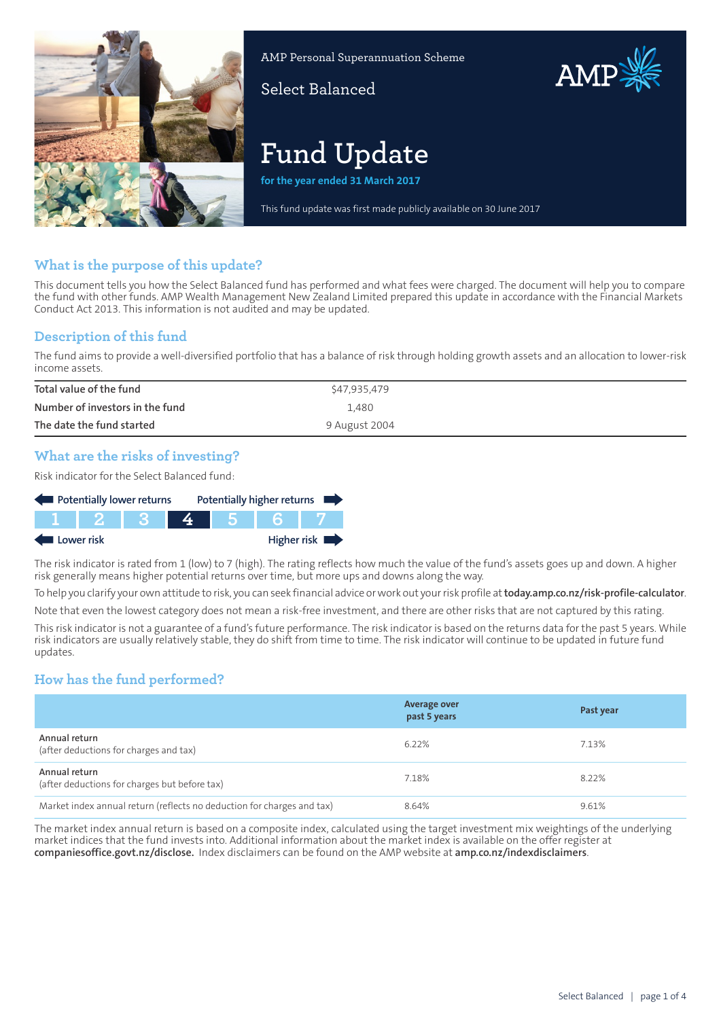

AMP Personal Superannuation Scheme

Select Balanced

# **Fund Update**

**for the year ended 31 March 2017**

This fund update was first made publicly available on 30 June 2017

AMP

# **What is the purpose of this update?**

This document tells you how the Select Balanced fund has performed and what fees were charged. The document will help you to compare the fund with other funds. AMP Wealth Management New Zealand Limited prepared this update in accordance with the Financial Markets Conduct Act 2013. This information is not audited and may be updated.

## **Description of this fund**

The fund aims to provide a well-diversified portfolio that has a balance of risk through holding growth assets and an allocation to lower-risk income assets.

| Total value of the fund         | \$47,935,479  |
|---------------------------------|---------------|
| Number of investors in the fund | 1,480         |
| The date the fund started       | 9 August 2004 |

## **What are the risks of investing?**

Risk indicator for the Select Balanced fund:

| Potentially lower returns |  |  |  |  | Potentially higher returns |
|---------------------------|--|--|--|--|----------------------------|
|                           |  |  |  |  |                            |
| Higher risk<br>Lower risk |  |  |  |  |                            |

The risk indicator is rated from 1 (low) to 7 (high). The rating reflects how much the value of the fund's assets goes up and down. A higher risk generally means higher potential returns over time, but more ups and downs along the way.

To help you clarify your own attitude to risk, you can seek financial advice orwork out yourrisk profile at**[today.amp.co.nz/risk-profile-calculator](http://today.amp.co.nz/risk-profile-calculator)**. Note that even the lowest category does not mean a risk-free investment, and there are other risks that are not captured by this rating.

This risk indicator is not a guarantee of a fund's future performance. The risk indicator is based on the returns data for the past 5 years. While risk indicators are usually relatively stable, they do shift from time to time. The risk indicator will continue to be updated in future fund updates.

# **How has the fund performed?**

|                                                                        | Average over<br>past 5 years | Past year |
|------------------------------------------------------------------------|------------------------------|-----------|
| Annual return<br>(after deductions for charges and tax)                | 6.22%                        | 7.13%     |
| Annual return<br>(after deductions for charges but before tax)         | 7.18%                        | 8.22%     |
| Market index annual return (reflects no deduction for charges and tax) | 8.64%                        | 9.61%     |

The market index annual return is based on a composite index, calculated using the target investment mix weightings of the underlying market indices that the fund invests into. Additional information about the market index is available on the offer register at **[companiesoffice.govt.nz/disclose](http://companiesoffice.govt.nz/disclose).** Index disclaimers can be found on the AMP website at **[amp.co.nz/indexdisclaimers](http://amp.co.nz/indexdisclaimers)**.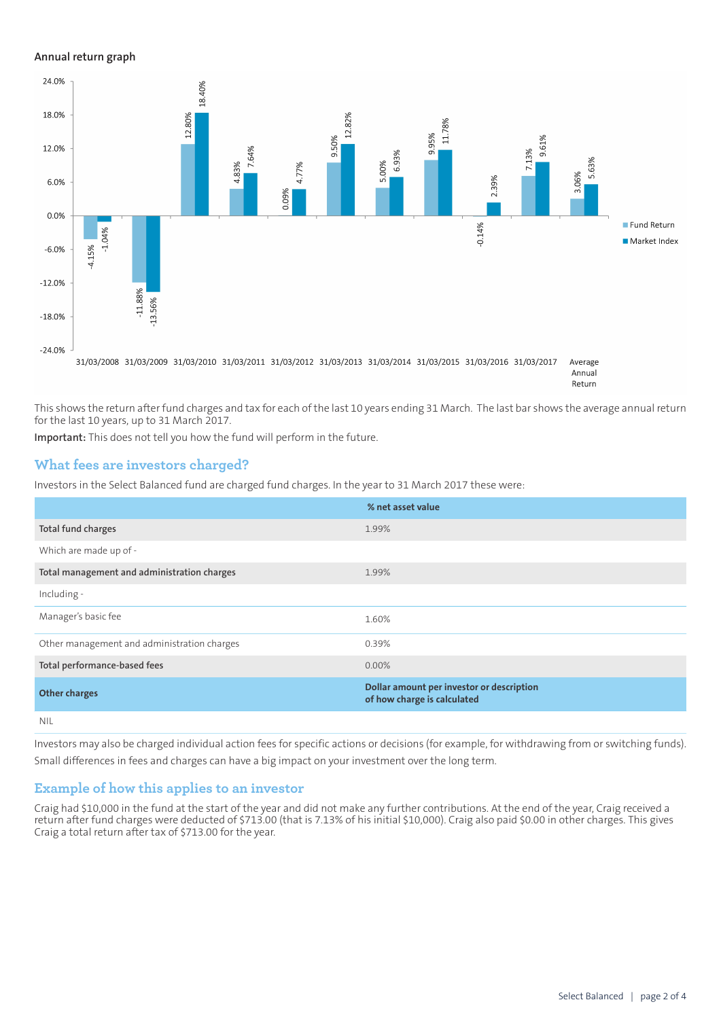#### **Annual return graph**



This shows the return after fund charges and tax for each of the last 10 years ending 31 March. The last bar shows the average annual return for the last 10 years, up to 31 March 2017.

**Important:** This does not tell you how the fund will perform in the future.

## **What fees are investors charged?**

Investors in the Select Balanced fund are charged fund charges. In the year to 31 March 2017 these were:

|                                             | % net asset value                                                        |
|---------------------------------------------|--------------------------------------------------------------------------|
| <b>Total fund charges</b>                   | 1.99%                                                                    |
| Which are made up of -                      |                                                                          |
| Total management and administration charges | 1.99%                                                                    |
| Including -                                 |                                                                          |
| Manager's basic fee                         | 1.60%                                                                    |
| Other management and administration charges | 0.39%                                                                    |
| Total performance-based fees                | $0.00\%$                                                                 |
| <b>Other charges</b>                        | Dollar amount per investor or description<br>of how charge is calculated |
| <b>NIL</b>                                  |                                                                          |

Investors may also be charged individual action fees for specific actions or decisions (for example, for withdrawing from or switching funds). Small differences in fees and charges can have a big impact on your investment over the long term.

#### **Example of how this applies to an investor**

Craig had \$10,000 in the fund at the start of the year and did not make any further contributions. At the end of the year, Craig received a return after fund charges were deducted of \$713.00 (that is 7.13% of his initial \$10,000). Craig also paid \$0.00 in other charges. This gives Craig a total return after tax of \$713.00 for the year.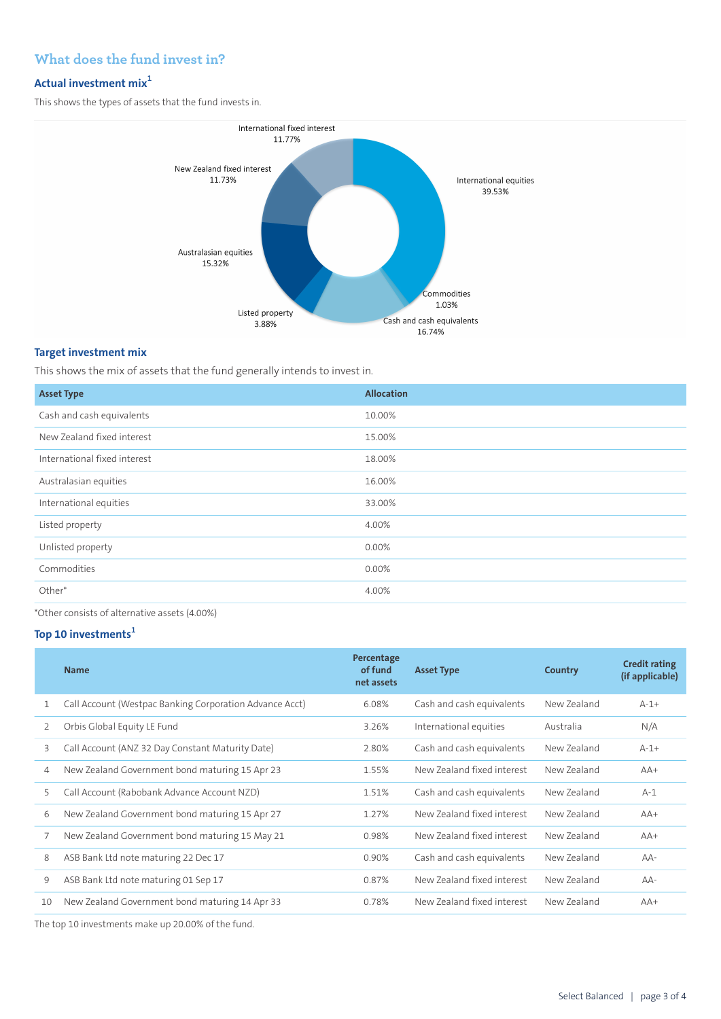# **What does the fund invest in?**

# **Actual investment mix<sup>1</sup>**

This shows the types of assets that the fund invests in.

![](_page_2_Figure_3.jpeg)

## **Target investment mix**

This shows the mix of assets that the fund generally intends to invest in.

| <b>Asset Type</b>            | <b>Allocation</b> |
|------------------------------|-------------------|
| Cash and cash equivalents    | 10.00%            |
| New Zealand fixed interest   | 15.00%            |
| International fixed interest | 18.00%            |
| Australasian equities        | 16.00%            |
| International equities       | 33.00%            |
| Listed property              | 4.00%             |
| Unlisted property            | 0.00%             |
| Commodities                  | 0.00%             |
| Other*                       | 4.00%             |
|                              |                   |

\*Other consists of alternative assets (4.00%)

# **Top 10 investments<sup>1</sup>**

|    | <b>Name</b>                                                                                                                                                                                                    | Percentage<br>of fund<br>net assets | <b>Asset Type</b>          | <b>Country</b> | <b>Credit rating</b><br>(if applicable) |
|----|----------------------------------------------------------------------------------------------------------------------------------------------------------------------------------------------------------------|-------------------------------------|----------------------------|----------------|-----------------------------------------|
| 1  | Call Account (Westpac Banking Corporation Advance Acct)                                                                                                                                                        | 6.08%                               | Cash and cash equivalents  | New Zealand    | $A-1+$                                  |
| 2  | Orbis Global Equity LE Fund                                                                                                                                                                                    | 3.26%                               | International equities     | Australia      | N/A                                     |
| 3  | Call Account (ANZ 32 Day Constant Maturity Date)                                                                                                                                                               | 2.80%                               | Cash and cash equivalents  | New Zealand    | $A-1+$                                  |
| 4  | New Zealand Government bond maturing 15 Apr 23                                                                                                                                                                 | 1.55%                               | New Zealand fixed interest | New Zealand    | $AA+$                                   |
| 5  | Call Account (Rabobank Advance Account NZD)                                                                                                                                                                    | 1.51%                               | Cash and cash equivalents  | New Zealand    | $A-1$                                   |
| 6  | New Zealand Government bond maturing 15 Apr 27                                                                                                                                                                 | 1.27%                               | New Zealand fixed interest | New Zealand    | $AA+$                                   |
| 7  | New Zealand Government bond maturing 15 May 21                                                                                                                                                                 | 0.98%                               | New Zealand fixed interest | New Zealand    | $AA+$                                   |
| 8  | ASB Bank Ltd note maturing 22 Dec 17                                                                                                                                                                           | 0.90%                               | Cash and cash equivalents  | New Zealand    | AA-                                     |
| 9  | ASB Bank Ltd note maturing 01 Sep 17                                                                                                                                                                           | 0.87%                               | New Zealand fixed interest | New Zealand    | $AA-$                                   |
| 10 | New Zealand Government bond maturing 14 Apr 33                                                                                                                                                                 | 0.78%                               | New Zealand fixed interest | New Zealand    | $AA+$                                   |
|    | $T$ $\left  \begin{array}{ccc} 1 & 40 \\ 1 & 1 \end{array} \right $ $\left  \begin{array}{ccc} 1 & 1 \\ 1 & 1 \end{array} \right $ according to $\left  \begin{array}{ccc} 1 & 0 \\ 0 & 1 \end{array} \right $ |                                     |                            |                |                                         |

The top 10 investments make up 20.00% of the fund.